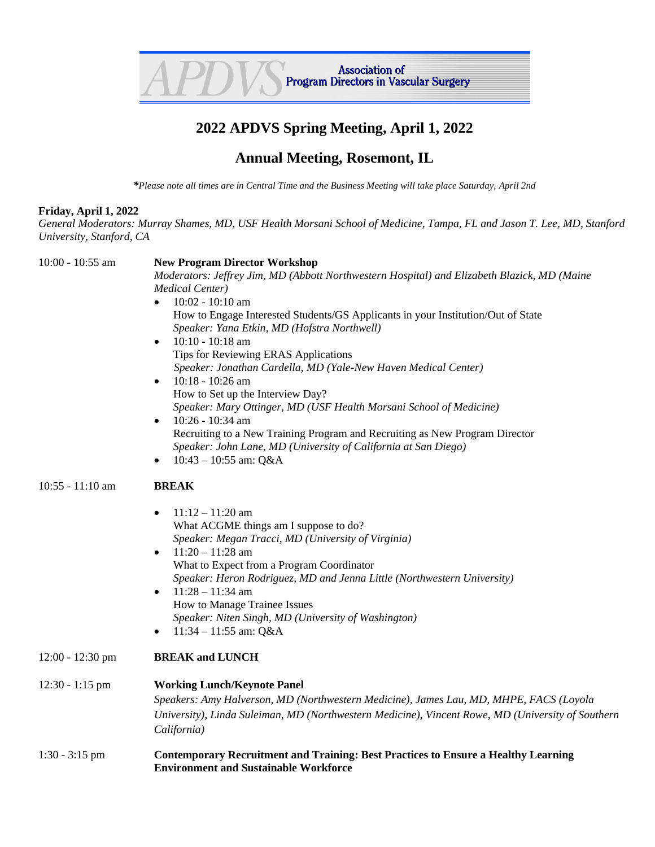

## **2022 APDVS Spring Meeting, April 1, 2022**

## **Annual Meeting, Rosemont, IL**

*\*Please note all times are in Central Time and the Business Meeting will take place Saturday, April 2nd*

## **Friday, April 1, 2022**

*General Moderators: Murray Shames, MD, USF Health Morsani School of Medicine, Tampa, FL and Jason T. Lee, MD, Stanford University, Stanford, CA*

| 10:00 - 10:55 am   | <b>New Program Director Workshop</b>                                                              |
|--------------------|---------------------------------------------------------------------------------------------------|
|                    | Moderators: Jeffrey Jim, MD (Abbott Northwestern Hospital) and Elizabeth Blazick, MD (Maine       |
|                    | <b>Medical Center)</b>                                                                            |
|                    | $10:02 - 10:10$ am<br>$\bullet$                                                                   |
|                    | How to Engage Interested Students/GS Applicants in your Institution/Out of State                  |
|                    | Speaker: Yana Etkin, MD (Hofstra Northwell)                                                       |
|                    | $10:10 - 10:18$ am<br>$\bullet$                                                                   |
|                    | Tips for Reviewing ERAS Applications                                                              |
|                    | Speaker: Jonathan Cardella, MD (Yale-New Haven Medical Center)                                    |
|                    | 10:18 - 10:26 am<br>$\bullet$                                                                     |
|                    | How to Set up the Interview Day?                                                                  |
|                    | Speaker: Mary Ottinger, MD (USF Health Morsani School of Medicine)                                |
|                    |                                                                                                   |
|                    | 10:26 - 10:34 am<br>$\bullet$                                                                     |
|                    | Recruiting to a New Training Program and Recruiting as New Program Director                       |
|                    | Speaker: John Lane, MD (University of California at San Diego)                                    |
|                    | 10:43 - 10:55 am: Q&A<br>$\bullet$                                                                |
| $10:55 - 11:10$ am | <b>BREAK</b>                                                                                      |
|                    |                                                                                                   |
|                    | $11:12 - 11:20$ am<br>$\bullet$                                                                   |
|                    | What ACGME things am I suppose to do?                                                             |
|                    | Speaker: Megan Tracci, MD (University of Virginia)                                                |
|                    | $11:20 - 11:28$ am<br>$\bullet$                                                                   |
|                    | What to Expect from a Program Coordinator                                                         |
|                    | Speaker: Heron Rodriguez, MD and Jenna Little (Northwestern University)                           |
|                    | $11:28 - 11:34$ am<br>$\bullet$                                                                   |
|                    | How to Manage Trainee Issues                                                                      |
|                    | Speaker: Niten Singh, MD (University of Washington)                                               |
|                    | 11:34 - 11:55 am: Q&A<br>$\bullet$                                                                |
| $12:00 - 12:30$ pm | <b>BREAK and LUNCH</b>                                                                            |
| $12:30 - 1:15$ pm  | <b>Working Lunch/Keynote Panel</b>                                                                |
|                    | Speakers: Amy Halverson, MD (Northwestern Medicine), James Lau, MD, MHPE, FACS (Loyola            |
|                    |                                                                                                   |
|                    | University), Linda Suleiman, MD (Northwestern Medicine), Vincent Rowe, MD (University of Southern |
|                    | California)                                                                                       |
| $1:30 - 3:15$ pm   | <b>Contemporary Recruitment and Training: Best Practices to Ensure a Healthy Learning</b>         |
|                    | <b>Environment and Sustainable Workforce</b>                                                      |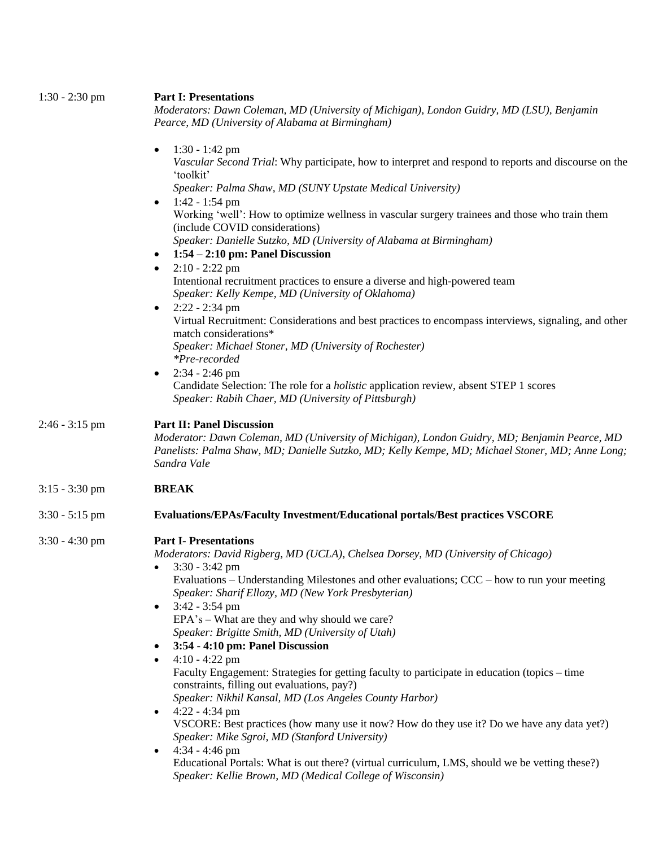| $1:30 - 2:30$ pm | <b>Part I: Presentations</b><br>Moderators: Dawn Coleman, MD (University of Michigan), London Guidry, MD (LSU), Benjamin<br>Pearce, MD (University of Alabama at Birmingham)                                                                                                                                                                                                                                                                                                                                                                                                                                                                                                                                                                                                                                                                                                                                                                                                                                                                                            |
|------------------|-------------------------------------------------------------------------------------------------------------------------------------------------------------------------------------------------------------------------------------------------------------------------------------------------------------------------------------------------------------------------------------------------------------------------------------------------------------------------------------------------------------------------------------------------------------------------------------------------------------------------------------------------------------------------------------------------------------------------------------------------------------------------------------------------------------------------------------------------------------------------------------------------------------------------------------------------------------------------------------------------------------------------------------------------------------------------|
|                  | $1:30 - 1:42$ pm<br>Vascular Second Trial: Why participate, how to interpret and respond to reports and discourse on the<br>'toolkit'<br>Speaker: Palma Shaw, MD (SUNY Upstate Medical University)                                                                                                                                                                                                                                                                                                                                                                                                                                                                                                                                                                                                                                                                                                                                                                                                                                                                      |
|                  | $1:42 - 1:54$ pm<br>Working 'well': How to optimize wellness in vascular surgery trainees and those who train them<br>(include COVID considerations)<br>Speaker: Danielle Sutzko, MD (University of Alabama at Birmingham)<br>$1:54 - 2:10$ pm: Panel Discussion                                                                                                                                                                                                                                                                                                                                                                                                                                                                                                                                                                                                                                                                                                                                                                                                        |
|                  | $2:10 - 2:22$ pm<br>$\bullet$<br>Intentional recruitment practices to ensure a diverse and high-powered team<br>Speaker: Kelly Kempe, MD (University of Oklahoma)<br>$2:22 - 2:34$ pm<br>$\bullet$                                                                                                                                                                                                                                                                                                                                                                                                                                                                                                                                                                                                                                                                                                                                                                                                                                                                      |
|                  | Virtual Recruitment: Considerations and best practices to encompass interviews, signaling, and other<br>match considerations*<br>Speaker: Michael Stoner, MD (University of Rochester)<br>*Pre-recorded                                                                                                                                                                                                                                                                                                                                                                                                                                                                                                                                                                                                                                                                                                                                                                                                                                                                 |
|                  | $2:34 - 2:46$ pm<br>Candidate Selection: The role for a <i>holistic</i> application review, absent STEP 1 scores<br>Speaker: Rabih Chaer, MD (University of Pittsburgh)                                                                                                                                                                                                                                                                                                                                                                                                                                                                                                                                                                                                                                                                                                                                                                                                                                                                                                 |
| $2:46 - 3:15$ pm | <b>Part II: Panel Discussion</b><br>Moderator: Dawn Coleman, MD (University of Michigan), London Guidry, MD; Benjamin Pearce, MD<br>Panelists: Palma Shaw, MD; Danielle Sutzko, MD; Kelly Kempe, MD; Michael Stoner, MD; Anne Long;<br>Sandra Vale                                                                                                                                                                                                                                                                                                                                                                                                                                                                                                                                                                                                                                                                                                                                                                                                                      |
| $3:15 - 3:30$ pm | <b>BREAK</b>                                                                                                                                                                                                                                                                                                                                                                                                                                                                                                                                                                                                                                                                                                                                                                                                                                                                                                                                                                                                                                                            |
| $3:30 - 5:15$ pm | <b>Evaluations/EPAs/Faculty Investment/Educational portals/Best practices VSCORE</b>                                                                                                                                                                                                                                                                                                                                                                                                                                                                                                                                                                                                                                                                                                                                                                                                                                                                                                                                                                                    |
| $3:30 - 4:30$ pm | <b>Part I- Presentations</b><br>Moderators: David Rigberg, MD (UCLA), Chelsea Dorsey, MD (University of Chicago)<br>$3:30 - 3:42$ pm<br>Evaluations – Understanding Milestones and other evaluations; $CCC - how to run your meeting$<br>Speaker: Sharif Ellozy, MD (New York Presbyterian)<br>$3:42 - 3:54$ pm<br>$\bullet$<br>$EPA's - What are they and why should we care?$<br>Speaker: Brigitte Smith, MD (University of Utah)<br>3:54 - 4:10 pm: Panel Discussion<br>$4:10 - 4:22$ pm<br>Faculty Engagement: Strategies for getting faculty to participate in education (topics - time<br>constraints, filling out evaluations, pay?)<br>Speaker: Nikhil Kansal, MD (Los Angeles County Harbor)<br>$4:22 - 4:34$ pm<br>VSCORE: Best practices (how many use it now? How do they use it? Do we have any data yet?)<br>Speaker: Mike Sgroi, MD (Stanford University)<br>$4:34 - 4:46$ pm<br>$\bullet$<br>Educational Portals: What is out there? (virtual curriculum, LMS, should we be vetting these?)<br>Speaker: Kellie Brown, MD (Medical College of Wisconsin) |